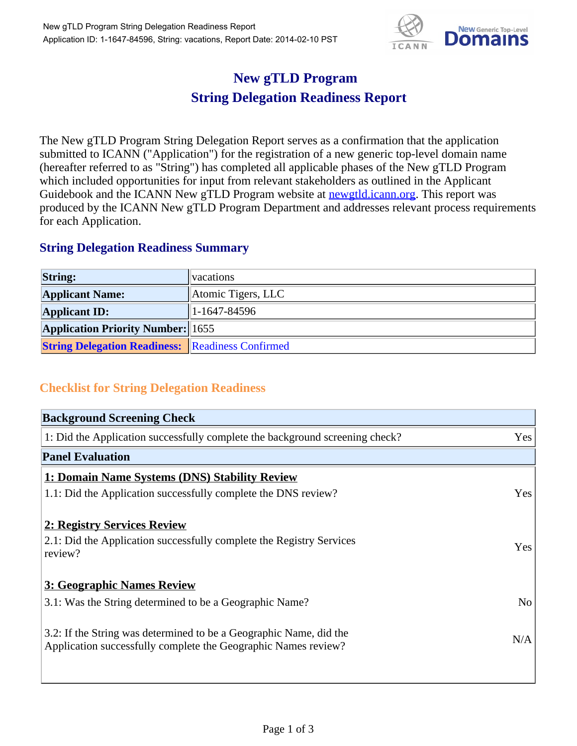

## **New gTLD Program String Delegation Readiness Report**

The New gTLD Program String Delegation Report serves as a confirmation that the application submitted to ICANN ("Application") for the registration of a new generic top-level domain name (hereafter referred to as "String") has completed all applicable phases of the New gTLD Program which included opportunities for input from relevant stakeholders as outlined in the Applicant Guidebook and the ICANN New gTLD Program website at **newgtld.jcann.org**. This report was produced by the ICANN New gTLD Program Department and addresses relevant process requirements for each Application.

## **String Delegation Readiness Summary**

| <b>String:</b>                                          | vacations          |
|---------------------------------------------------------|--------------------|
| <b>Applicant Name:</b>                                  | Atomic Tigers, LLC |
| <b>Applicant ID:</b>                                    | $1-1647-84596$     |
| <b>Application Priority Number:</b> 1655                |                    |
| <b>String Delegation Readiness:</b> Readiness Confirmed |                    |

## **Checklist for String Delegation Readiness**

| <b>Background Screening Check</b>                                               |                |
|---------------------------------------------------------------------------------|----------------|
| 1: Did the Application successfully complete the background screening check?    | Yes            |
| <b>Panel Evaluation</b>                                                         |                |
| 1: Domain Name Systems (DNS) Stability Review                                   |                |
| 1.1: Did the Application successfully complete the DNS review?                  | Yes            |
| 2: Registry Services Review                                                     |                |
|                                                                                 |                |
| 2.1: Did the Application successfully complete the Registry Services<br>review? | <b>Yes</b>     |
|                                                                                 |                |
| 3: Geographic Names Review                                                      |                |
| 3.1: Was the String determined to be a Geographic Name?                         | N <sub>0</sub> |
| 3.2: If the String was determined to be a Geographic Name, did the              |                |
| Application successfully complete the Geographic Names review?                  | N/A            |
|                                                                                 |                |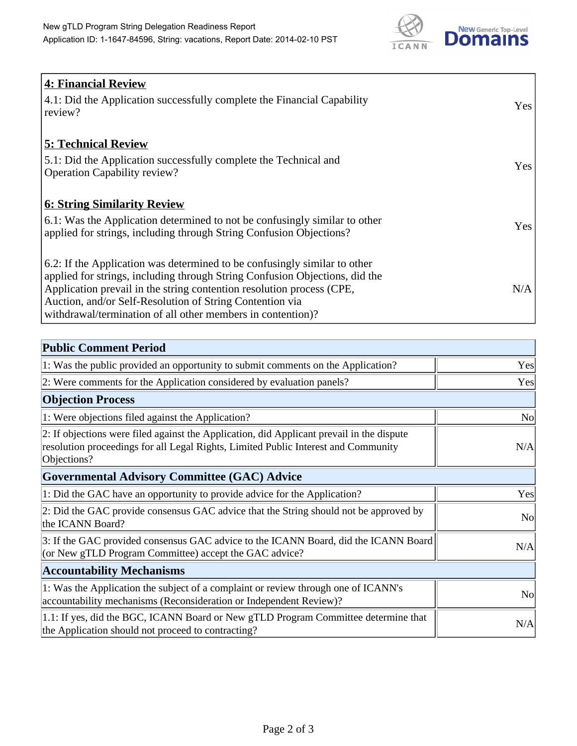

| <b>4: Financial Review</b><br>4.1: Did the Application successfully complete the Financial Capability<br>review?                                                                                                                                                                                                                                             | Yes |
|--------------------------------------------------------------------------------------------------------------------------------------------------------------------------------------------------------------------------------------------------------------------------------------------------------------------------------------------------------------|-----|
| <b>5: Technical Review</b><br>5.1: Did the Application successfully complete the Technical and<br><b>Operation Capability review?</b>                                                                                                                                                                                                                        | Yes |
| <u><b>6: String Similarity Review</b></u><br>6.1: Was the Application determined to not be confusingly similar to other<br>applied for strings, including through String Confusion Objections?                                                                                                                                                               | Yes |
| 6.2: If the Application was determined to be confusingly similar to other<br>applied for strings, including through String Confusion Objections, did the<br>Application prevail in the string contention resolution process (CPE,<br>Auction, and/or Self-Resolution of String Contention via<br>withdrawal/termination of all other members in contention)? | N/A |

| <b>Public Comment Period</b>                                                                                                                                                                   |                |
|------------------------------------------------------------------------------------------------------------------------------------------------------------------------------------------------|----------------|
| 1: Was the public provided an opportunity to submit comments on the Application?                                                                                                               | Yes            |
| 2: Were comments for the Application considered by evaluation panels?                                                                                                                          | Yes            |
| <b>Objection Process</b>                                                                                                                                                                       |                |
| 1: Were objections filed against the Application?                                                                                                                                              | N <sub>0</sub> |
| 2: If objections were filed against the Application, did Applicant prevail in the dispute<br>resolution proceedings for all Legal Rights, Limited Public Interest and Community<br>Objections? | N/A            |
| <b>Governmental Advisory Committee (GAC) Advice</b>                                                                                                                                            |                |
| 1: Did the GAC have an opportunity to provide advice for the Application?                                                                                                                      | Yes            |
| 2: Did the GAC provide consensus GAC advice that the String should not be approved by<br>the ICANN Board?                                                                                      | <b>No</b>      |
| 3: If the GAC provided consensus GAC advice to the ICANN Board, did the ICANN Board<br>(or New gTLD Program Committee) accept the GAC advice?                                                  | N/A            |
| <b>Accountability Mechanisms</b>                                                                                                                                                               |                |
| 1: Was the Application the subject of a complaint or review through one of ICANN's<br>accountability mechanisms (Reconsideration or Independent Review)?                                       | N <sub>0</sub> |
| 1.1: If yes, did the BGC, ICANN Board or New gTLD Program Committee determine that<br>the Application should not proceed to contracting?                                                       | N/A            |